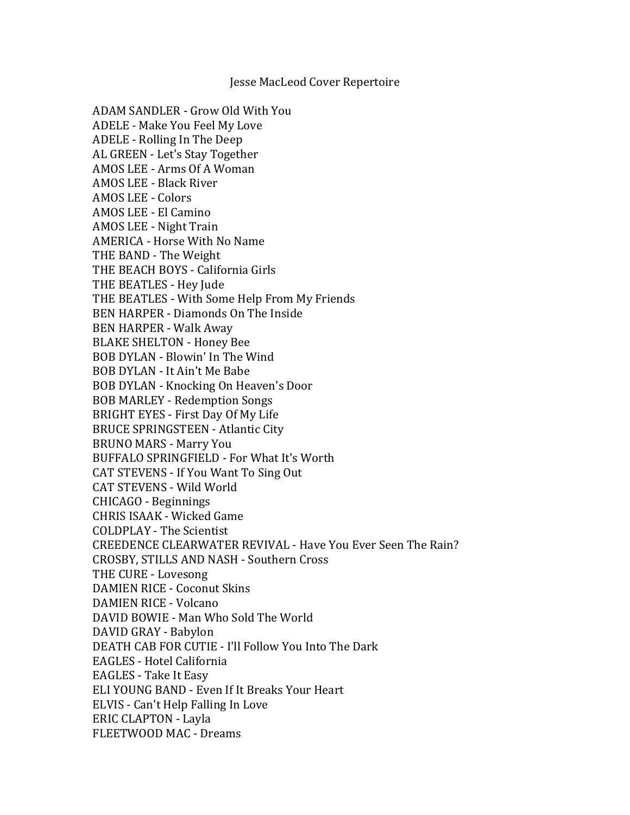## Jesse MacLeod Cover Repertoire

ADAM SANDLER - Grow Old With You ADELE - Make You Feel My Love ADELE - Rolling In The Deep AL GREEN - Let's Stay Together AMOS LEE - Arms Of A Woman AMOS LEE - Black River **AMOS LEE - Colors** AMOS LEE - El Camino AMOS LEE - Night Train AMERICA - Horse With No Name THE BAND - The Weight THE BEACH BOYS - California Girls THE BEATLES - Hey Jude THE BEATLES - With Some Help From My Friends BEN HARPER - Diamonds On The Inside BEN HARPER - Walk Away **BLAKE SHELTON - Honey Bee** BOB DYLAN - Blowin' In The Wind BOB DYLAN - It Ain't Me Babe BOB DYLAN - Knocking On Heaven's Door BOB MARLEY - Redemption Songs BRIGHT EYES - First Day Of My Life BRUCE SPRINGSTEEN - Atlantic City BRUNO MARS - Marry You BUFFALO SPRINGFIELD - For What It's Worth CAT STEVENS - If You Want To Sing Out CAT STEVENS - Wild World CHICAGO - Beginnings CHRIS ISAAK - Wicked Game COLDPLAY - The Scientist CREEDENCE CLEARWATER REVIVAL - Have You Ever Seen The Rain? CROSBY, STILLS AND NASH - Southern Cross THE CURE - Lovesong DAMIEN RICE - Coconut Skins DAMIEN RICE - Volcano DAVID BOWIE - Man Who Sold The World DAVID GRAY - Babylon DEATH CAB FOR CUTIE - I'll Follow You Into The Dark EAGLES - Hotel California EAGLES - Take It Easy ELI YOUNG BAND - Even If It Breaks Your Heart ELVIS - Can't Help Falling In Love ERIC CLAPTON - Layla FLEETWOOD MAC - Dreams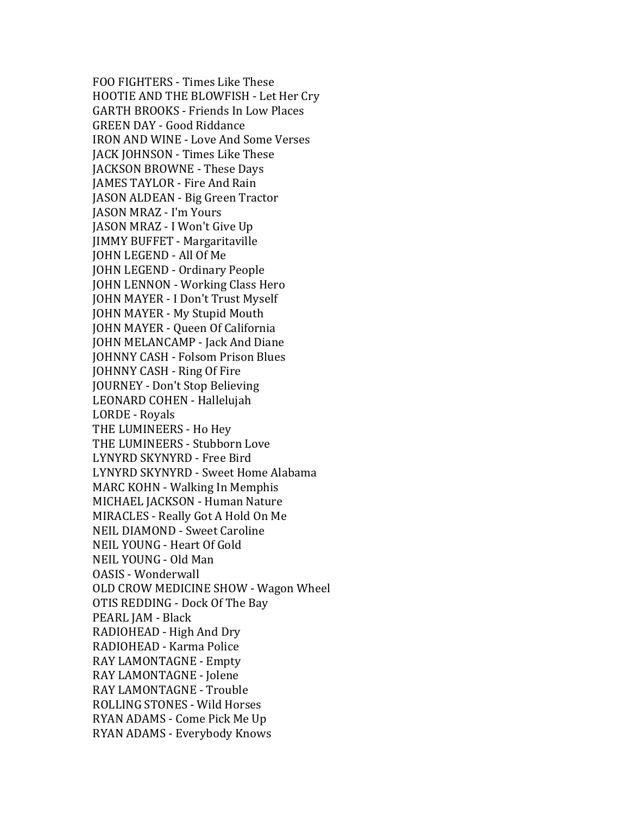FOO FIGHTERS - Times Like These HOOTIE AND THE BLOWFISH - Let Her Cry GARTH BROOKS - Friends In Low Places GREEN DAY - Good Riddance IRON AND WINE - Love And Some Verses JACK JOHNSON - Times Like These JACKSON BROWNE - These Days **JAMES TAYLOR - Fire And Rain** JASON ALDEAN - Big Green Tractor JASON MRAZ - I'm Yours IASON MRAZ - I Won't Give Up JIMMY BUFFET - Margaritaville JOHN LEGEND - All Of Me JOHN LEGEND - Ordinary People JOHN LENNON - Working Class Hero JOHN MAYER - I Don't Trust Myself JOHN MAYER - My Stupid Mouth JOHN MAYER - Queen Of California JOHN MELANCAMP - Jack And Diane **JOHNNY CASH - Folsom Prison Blues JOHNNY CASH - Ring Of Fire** JOURNEY - Don't Stop Believing LEONARD COHEN - Hallelujah LORDE - Royals THE LUMINEERS - Ho Hey THE LUMINEERS - Stubborn Love LYNYRD SKYNYRD - Free Bird LYNYRD SKYNYRD - Sweet Home Alabama MARC KOHN - Walking In Memphis MICHAEL JACKSON - Human Nature MIRACLES - Really Got A Hold On Me NEIL DIAMOND - Sweet Caroline NEIL YOUNG - Heart Of Gold NEIL YOUNG - Old Man OASIS - Wonderwall OLD CROW MEDICINE SHOW - Wagon Wheel OTIS REDDING - Dock Of The Bay PEARL JAM - Black RADIOHEAD - High And Dry RADIOHEAD - Karma Police RAY LAMONTAGNE - Empty RAY LAMONTAGNE - Jolene RAY LAMONTAGNE - Trouble ROLLING STONES - Wild Horses RYAN ADAMS - Come Pick Me Up RYAN ADAMS - Everybody Knows